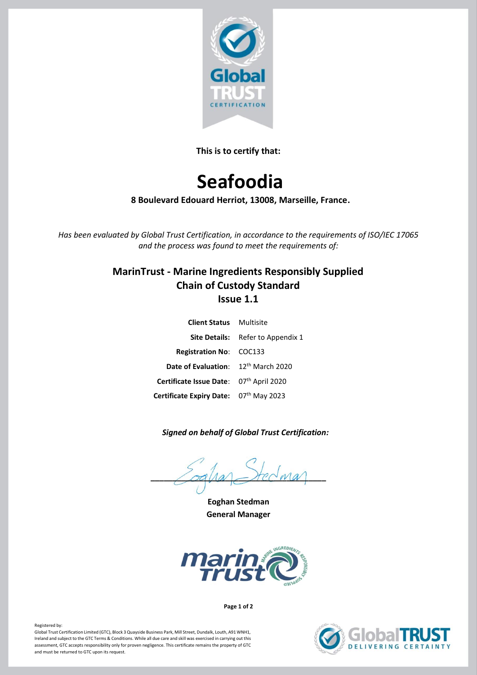

**This is to certify that:**

# **Seafoodia**

**8 Boulevard Edouard Herriot, 13008, Marseille, France.**

*Has been evaluated by Global Trust Certification, in accordance to the requirements of ISO/IEC 17065 and the process was found to meet the requirements of:*

# **MarinTrust - Marine Ingredients Responsibly Supplied Chain of Custody Standard Issue 1.1**

| <b>Client Status</b> Multisite          |                                          |
|-----------------------------------------|------------------------------------------|
|                                         | <b>Site Details:</b> Refer to Appendix 1 |
| <b>Registration No: COC133</b>          |                                          |
| Date of Evaluation: 12th March 2020     |                                          |
| Certificate Issue Date: 07th April 2020 |                                          |
| Certificate Expiry Date: 07th May 2023  |                                          |

# *Signed on behalf of Global Trust Certification:*

 $\angle$  od ha  $\angle$  rec wa

**Eoghan Stedman General Manager**



**Page 1 of 2**



### Registered by:

Global Trust Certification Limited (GTC), Block 3 Quayside Business Park, Mill Street, Dundalk, Louth, A91 WNH1, Ireland and subject to the GTC Terms & Conditions. While all due care and skill was exercised in carrying out this assessment, GTC accepts responsibility only for proven negligence. This certificate remains the property of GTC and must be returned to GTC upon its request.